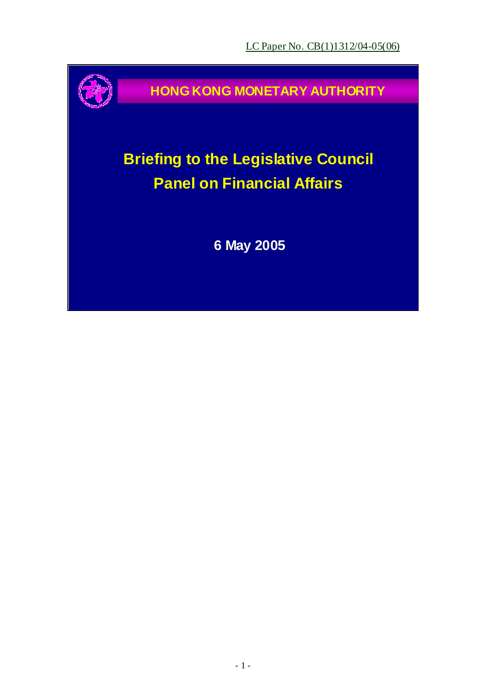

**HONG KONG MONETARY AUTHORITY**

# **Briefing to the Legislative Council Panel on Financial Affairs**

**6 May 2005**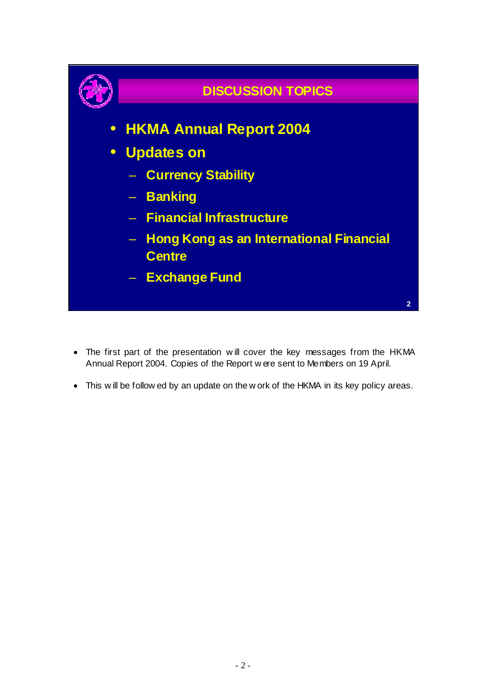

- The first part of the presentation w ill cover the key messages from the HKMA Annual Report 2004. Copies of the Report w ere sent to Members on 19 April.
- This w ill be follow ed by an update on the w ork of the HKMA in its key policy areas.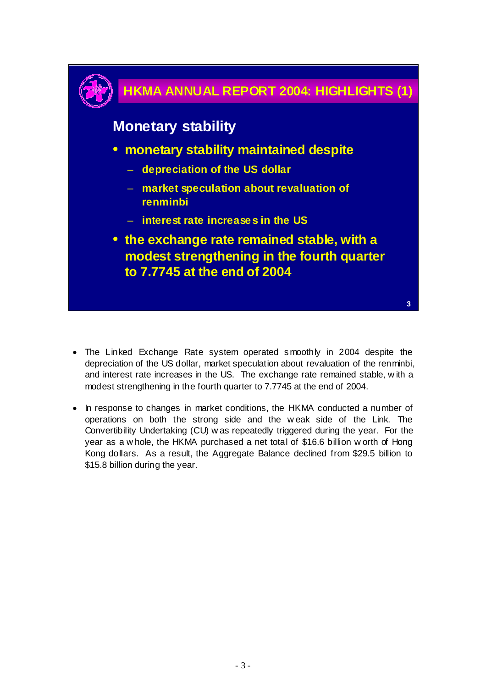# **3 HKMA ANNUAL REPORT 2004: HIGHLIGHTS (1) Monetary stability** • **monetary stability maintained despite** – **depreciation of the US dollar** – **market speculation about revaluation of renminbi** – **interest rate increases in the US** • **the exchange rate remained stable, with a modest strengthening in the fourth quarter to 7.7745 at the end of 2004**

- The Linked Exchange Rate system operated smoothly in 2004 despite the depreciation of the US dollar, market speculation about revaluation of the renminbi, and interest rate increases in the US. The exchange rate remained stable, w ith a modest strengthening in the fourth quarter to 7.7745 at the end of 2004.
- In response to changes in market conditions, the HKMA conducted a number of operations on both the strong side and the w eak side of the Link. The Convertibility Undertaking (CU) w as repeatedly triggered during the year. For the year as a w hole, the HKMA purchased a net total of \$16.6 billion w orth of Hong Kong dollars. As a result, the Aggregate Balance declined from \$29.5 billion to \$15.8 billion during the year.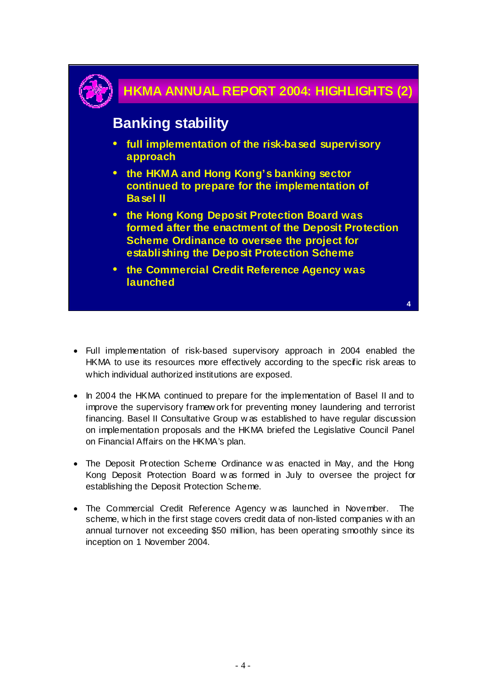

- Full implementation of risk-based supervisory approach in 2004 enabled the HKMA to use its resources more effectively according to the specific risk areas to which individual authorized institutions are exposed.
- In 2004 the HKMA continued to prepare for the implementation of Basel II and to improve the supervisory framew ork for preventing money laundering and terrorist financing. Basel II Consultative Group w as established to have regular discussion on implementation proposals and the HKMA briefed the Legislative Council Panel on Financial Affairs on the HKMA's plan.
- The Deposit Protection Scheme Ordinance w as enacted in May, and the Hong Kong Deposit Protection Board w as formed in July to oversee the project for establishing the Deposit Protection Scheme.
- The Commercial Credit Reference Agency w as launched in November. The scheme, w hich in the first stage covers credit data of non-listed companies w ith an annual turnover not exceeding \$50 million, has been operating smoothly since its inception on 1 November 2004.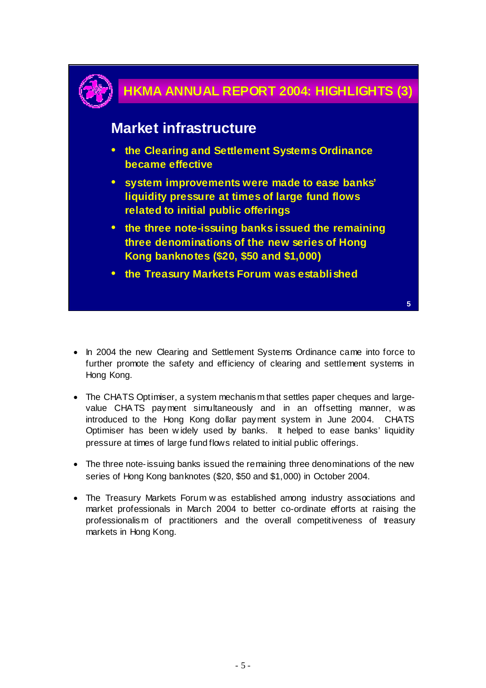

- In 2004 the new Clearing and Settlement Systems Ordinance came into force to further promote the safety and efficiency of clearing and settlement systems in Hong Kong.
- The CHATS Optimiser, a system mechanism that settles paper cheques and largevalue CHA TS payment simultaneously and in an offsetting manner, w as introduced to the Hong Kong dollar payment system in June 2004. CHATS Optimiser has been w idely used by banks. It helped to ease banks' liquidity pressure at times of large fund flows related to initial public offerings.
- The three note-issuing banks issued the remaining three denominations of the new series of Hong Kong banknotes (\$20, \$50 and \$1,000) in October 2004.
- The Treasury Markets Forum w as established among industry associations and market professionals in March 2004 to better co-ordinate efforts at raising the professionalism of practitioners and the overall competitiveness of treasury markets in Hong Kong.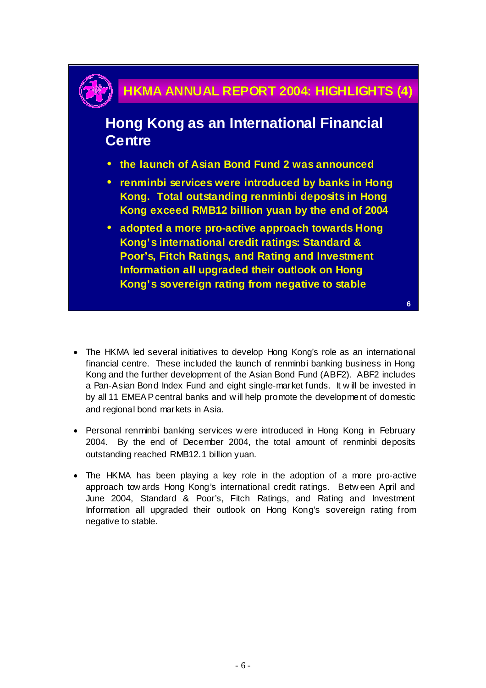## **HKMA ANNUAL REPORT 2004: HIGHLIGHTS (4)**

**Hong Kong as an International Financial Centre**

- **the launch of Asian Bond Fund 2 was announced**
- **renminbi services were introduced by banks in Hong Kong. Total outstanding renminbi deposits in Hong Kong exceed RMB12 billion yuan by the end of 2004**
- **adopted a more pro-active approach towards Hong Kong's international credit ratings: Standard & Poor's, Fitch Ratings, and Rating and Investment Information all upgraded their outlook on Hong Kong's sovereign rating from negative to stable**

**6**

• The HKMA led several initiatives to develop Hong Kong's role as an international financial centre. These included the launch of renminbi banking business in Hong Kong and the further development of the Asian Bond Fund (ABF2). ABF2 includes a Pan-Asian Bond Index Fund and eight single-market funds. It w ill be invested in by all 11 EMEA P central banks and w ill help promote the development of domestic and regional bond markets in Asia.

- Personal renminbi banking services w ere introduced in Hong Kong in February 2004. By the end of December 2004, the total amount of renminbi deposits outstanding reached RMB12.1 billion yuan.
- The HKMA has been playing a key role in the adoption of a more pro-active approach tow ards Hong Kong's international credit ratings. Betw een April and June 2004, Standard & Poor's, Fitch Ratings, and Rating and Investment Information all upgraded their outlook on Hong Kong's sovereign rating from negative to stable.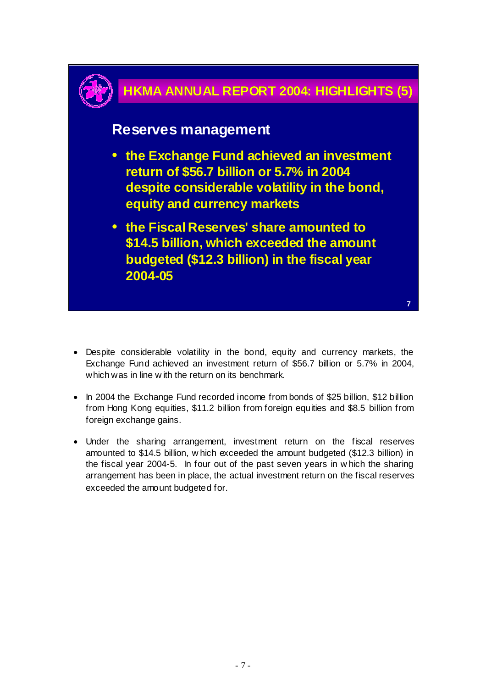

- Despite considerable volatility in the bond, equity and currency markets, the Exchange Fund achieved an investment return of \$56.7 billion or 5.7% in 2004, which was in line w ith the return on its benchmark.
- In 2004 the Exchange Fund recorded income from bonds of \$25 billion, \$12 billion from Hong Kong equities, \$11.2 billion from foreign equities and \$8.5 billion from foreign exchange gains.
- Under the sharing arrangement, investment return on the fiscal reserves amounted to \$14.5 billion, w hich exceeded the amount budgeted (\$12.3 billion) in the fiscal year 2004-5. In four out of the past seven years in w hich the sharing arrangement has been in place, the actual investment return on the fiscal reserves exceeded the amount budgeted for.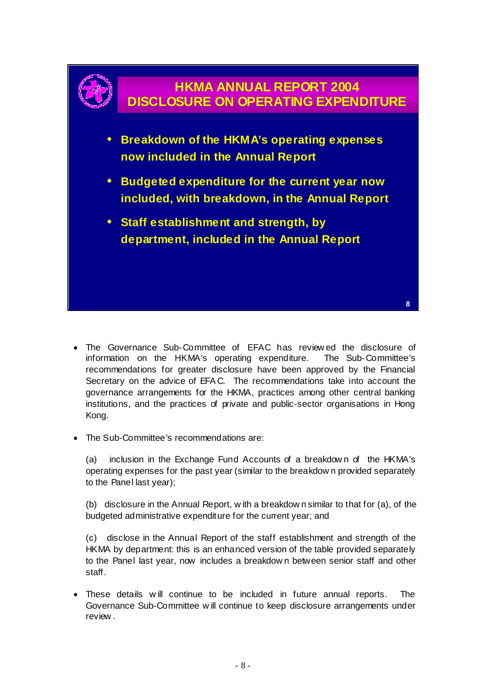

- The Governance Sub-Committee of EFAC has review ed the disclosure of information on the HKMA's operating expenditure. The Sub-Committee's recommendations for greater disclosure have been approved by the Financial Secretary on the advice of EFA C. The recommendations take into account the governance arrangements for the HKMA, practices among other central banking institutions, and the practices of private and public-sector organisations in Hong Kong.
- The Sub-Committee's recommendations are:

(a) inclusion in the Exchange Fund Accounts of a breakdow n of the HKMA's operating expenses for the past year (similar to the breakdow n provided separately to the Panel last year);

(b) disclosure in the Annual Report, w ith a breakdow n similar to that for (a), of the budgeted administrative expenditure for the current year; and

(c) disclose in the Annual Report of the staff establishment and strength of the HKMA by department: this is an enhanced version of the table provided separately to the Panel last year, now includes a breakdow n between senior staff and other staff.

• These details w ill continue to be included in future annual reports. The Governance Sub-Committee w ill continue to keep disclosure arrangements under review .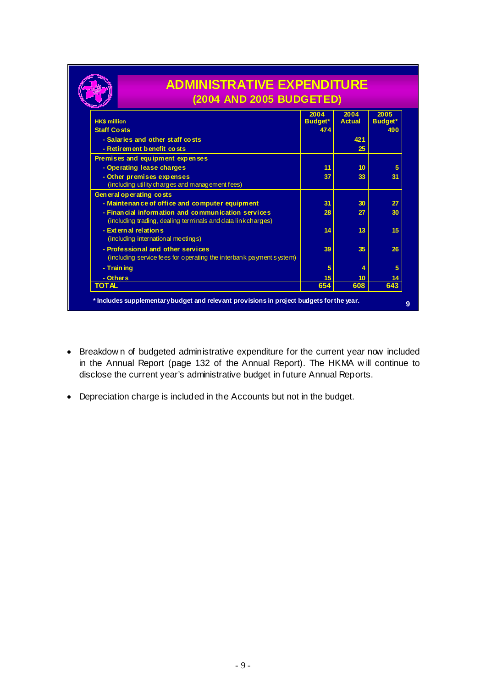|                                                                                                                    | (2004 AND 2005 BUDGETED) |                       |                        |  |  |
|--------------------------------------------------------------------------------------------------------------------|--------------------------|-----------------------|------------------------|--|--|
| <b>HK\$ million</b>                                                                                                | 2004<br>Budget*          | 2004<br><b>Actual</b> | 2005<br><b>Budget*</b> |  |  |
| <b>Staff Costs</b>                                                                                                 | 474                      |                       | 490                    |  |  |
| - Salaries and other staff costs                                                                                   |                          | 421                   |                        |  |  |
| - Retirement benefit costs                                                                                         |                          | 25                    |                        |  |  |
| Premises and equipment expenses                                                                                    |                          |                       |                        |  |  |
| - Operating lease charges                                                                                          | 11                       | 10                    | 5                      |  |  |
| - Other premises expenses                                                                                          | 37                       | 33                    | 31                     |  |  |
| (including utility charges and management fees)                                                                    |                          |                       |                        |  |  |
| General operating costs                                                                                            |                          |                       |                        |  |  |
| - Maintenan ce of office and computer equipment                                                                    | 31                       | 30                    | 27                     |  |  |
| - Financial information and communication services<br>(including trading, dealing terminals and data link charges) | 28                       | 27                    | 30                     |  |  |
| - Ext ern al relation s<br>(including internation al meetings)                                                     | 14                       | 13                    | 15                     |  |  |
| - Profession al and other services<br>(including service fees for operating the interbank payment system)          | 39                       | 35                    | 26                     |  |  |
| - Train ing                                                                                                        | 5                        | 4                     | 5                      |  |  |
| - Others                                                                                                           | 15 <sub>15</sub>         | 10                    | 14                     |  |  |
| <b>TOTAL</b>                                                                                                       | 654                      | 608                   | 643                    |  |  |

- Breakdow n of budgeted administrative expenditure for the current year now included in the Annual Report (page 132 of the Annual Report). The HKMA w ill continue to disclose the current year's administrative budget in future Annual Reports.
- Depreciation charge is included in the Accounts but not in the budget.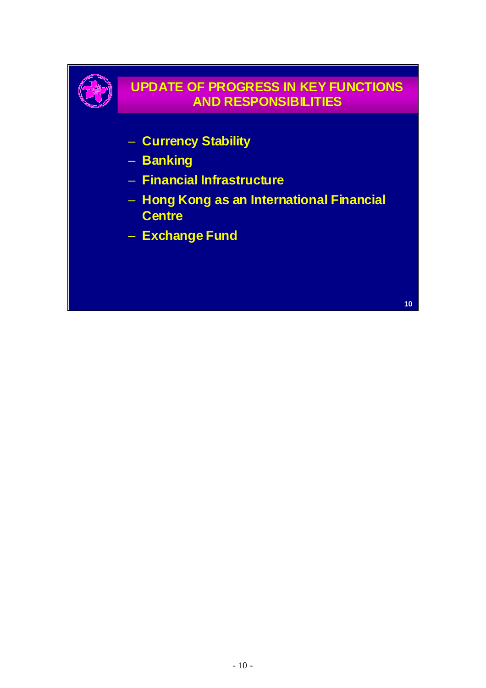

### **UPDATE OF PROGRESS IN KEY FUNCTIONS AND RESPONSIBILITIES**

- **Currency Stability**
- **Banking**
- **Financial Infrastructure**
- **Hong Kong as an International Financial Centre**
- **Exchange Fund**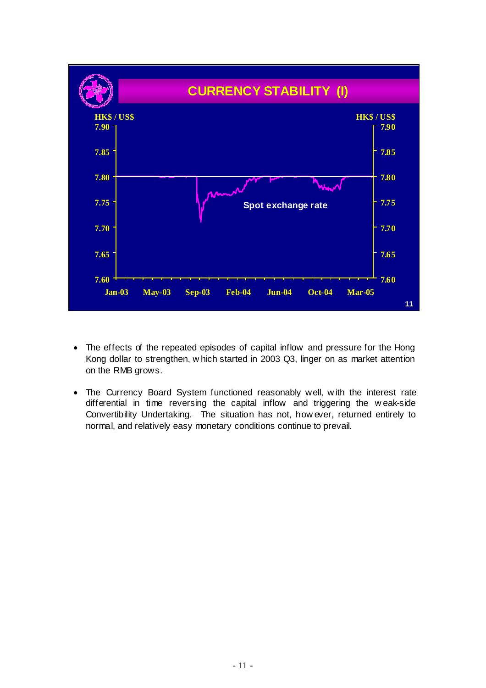

- The effects of the repeated episodes of capital inflow and pressure for the Hong Kong dollar to strengthen, w hich started in 2003 Q3, linger on as market attention on the RMB grows.
- The Currency Board System functioned reasonably well, w ith the interest rate differential in time reversing the capital inflow and triggering the w eak-side Convertibility Undertaking. The situation has not, how ever, returned entirely to normal, and relatively easy monetary conditions continue to prevail.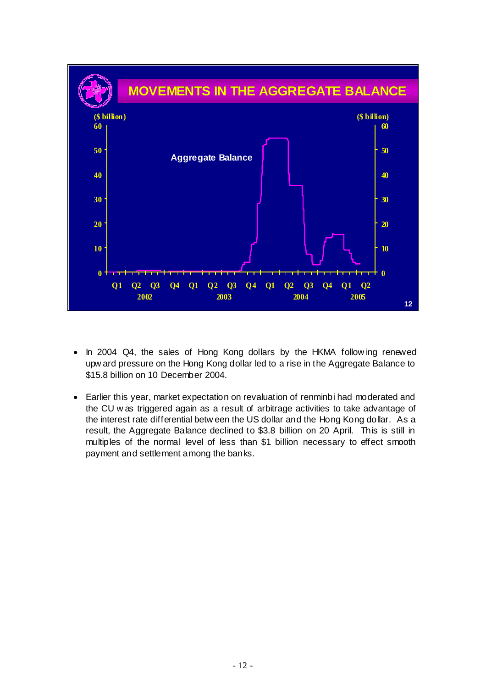

- In 2004 Q4, the sales of Hong Kong dollars by the HKMA follow ing renewed upw ard pressure on the Hong Kong dollar led to a rise in the Aggregate Balance to \$15.8 billion on 10 December 2004.
- Earlier this year, market expectation on revaluation of renminbi had moderated and the CU w as triggered again as a result of arbitrage activities to take advantage of the interest rate differential betw een the US dollar and the Hong Kong dollar. As a result, the Aggregate Balance declined to \$3.8 billion on 20 April. This is still in multiples of the normal level of less than \$1 billion necessary to effect smooth payment and settlement among the banks.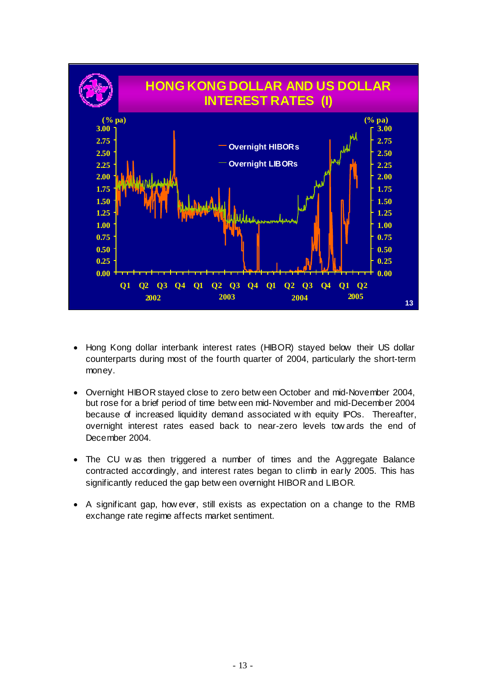

- Hong Kong dollar interbank interest rates (HIBOR) stayed below their US dollar counterparts during most of the fourth quarter of 2004, particularly the short-term money.
- Overnight HIBOR stayed close to zero betw een October and mid-November 2004, but rose for a brief period of time betw een mid-November and mid-December 2004 because of increased liquidity demand associated w ith equity IPOs. Thereafter, overnight interest rates eased back to near-zero levels tow ards the end of December 2004.
- The CU w as then triggered a number of times and the Aggregate Balance contracted accordingly, and interest rates began to climb in early 2005. This has significantly reduced the gap betw een overnight HIBOR and LIBOR.
- A significant gap, how ever, still exists as expectation on a change to the RMB exchange rate regime affects market sentiment.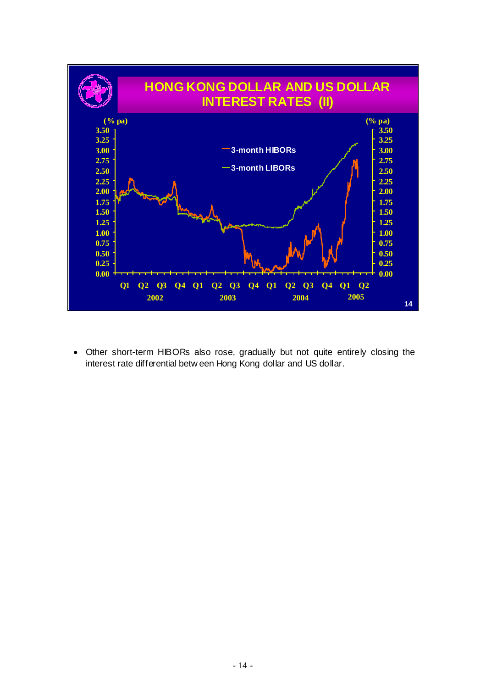

• Other short-term HIBORs also rose, gradually but not quite entirely closing the interest rate differential betw een Hong Kong dollar and US dollar.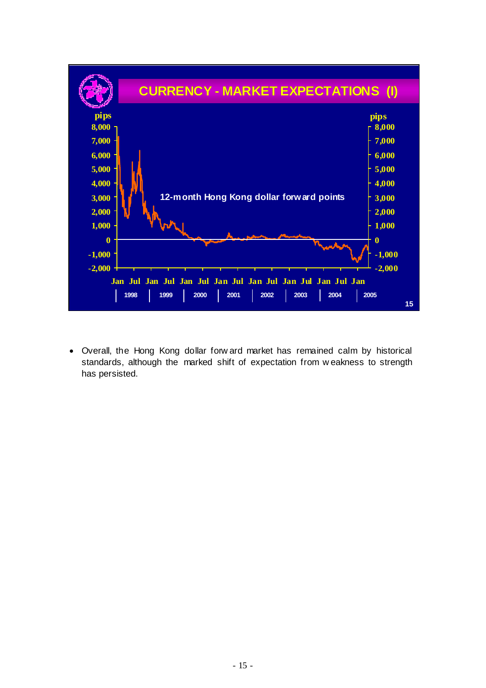

• Overall, the Hong Kong dollar forw ard market has remained calm by historical standards, although the marked shift of expectation from w eakness to strength has persisted.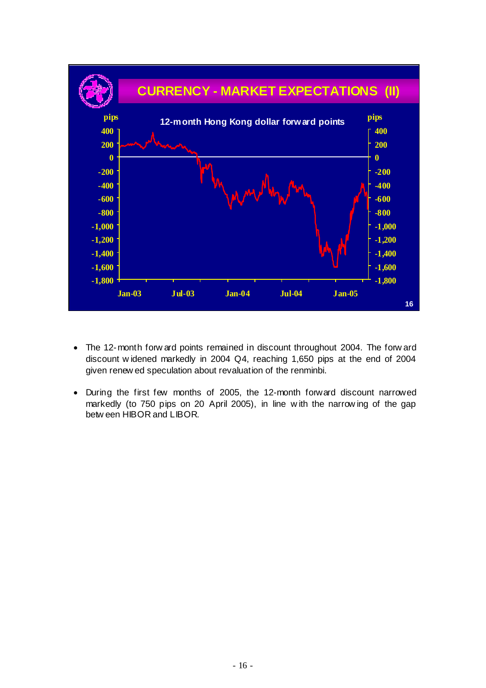

- The 12-month forw ard points remained in discount throughout 2004. The forw ard discount w idened markedly in 2004 Q4, reaching 1,650 pips at the end of 2004 given renew ed speculation about revaluation of the renminbi.
- During the first few months of 2005, the 12-month forward discount narrowed markedly (to 750 pips on 20 April 2005), in line w ith the narrow ing of the gap betw een HIBOR and LIBOR.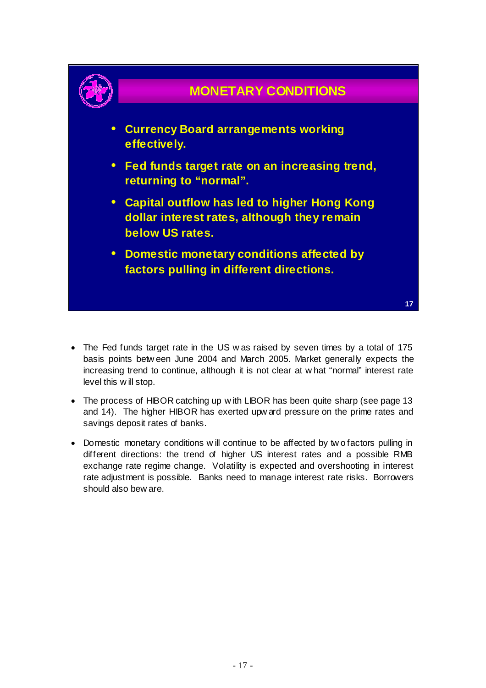

- The Fed funds target rate in the US w as raised by seven times by a total of 175 basis points betw een June 2004 and March 2005. Market generally expects the increasing trend to continue, although it is not clear at w hat "normal" interest rate level this w ill stop.
- The process of HIBOR catching up w ith LIBOR has been quite sharp (see page 13 and 14). The higher HIBOR has exerted upw ard pressure on the prime rates and savings deposit rates of banks.
- Domestic monetary conditions w ill continue to be affected by two factors pulling in different directions: the trend of higher US interest rates and a possible RMB exchange rate regime change. Volatility is expected and overshooting in interest rate adjustment is possible. Banks need to manage interest rate risks. Borrowers should also bew are.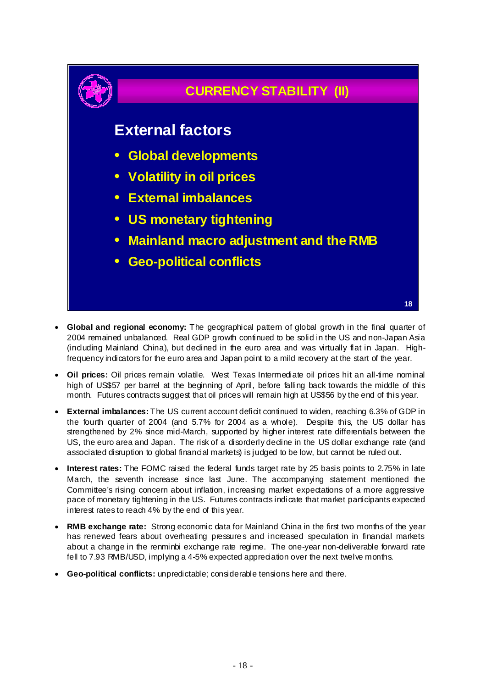

- **Global and regional economy:** The geographical pattern of global growth in the final quarter of 2004 remained unbalanced. Real GDP growth continued to be solid in the US and non-Japan Asia (induding Mainland China), but dedined in the euro area and was virtually flat in Japan. Highfrequency indicators for the euro area and Japan point to a mild recovery at the start of the year.
- **Oil prices:** Oil prices remain volatile. West Texas Intermediate oil prices hit an all-time nominal high of US\$57 per barrel at the beginning of April, before falling back towards the middle of this month. Futures contracts suggest that oil prices will remain high at US\$56 by the end of this year.
- **External imbalances:** The US current account deficit continued to widen, reaching 6.3% of GDP in the fourth quarter of 2004 (and 5.7% for 2004 as a whole). Despite this, the US dollar has strengthened by 2% since mid-March, supported by higher interest rate differentials between the US, the euro area and Japan. The risk of a disorderly decline in the US dollar exchange rate (and associated disruption to global financial markets) is judged to be low, but cannot be ruled out.
- **Interest rates:** The FOMC raised the federal funds target rate by 25 basis points to 2.75% in late March, the seventh increase since last June. The accompanying statement mentioned the Committee's rising concern about inflation, increasing market expectations of a more aggressive pace of monetary tightening in the US. Futures contracts indicate that market participants expected interest rates to reach 4% by the end of this year.
- **RMB exchange rate:** Strong economic data for Mainland China in the first two months of the year has renewed fears about overheating pressures and increased speculation in financial markets about a change in the renminbi exchange rate regime. The one-year non-deliverable forward rate fell to 7.93 RMB/USD, implying a 4-5% expected appreciation over the next twelve months.
- **Geo-political conflicts:** unpredictable; considerable tensions here and there.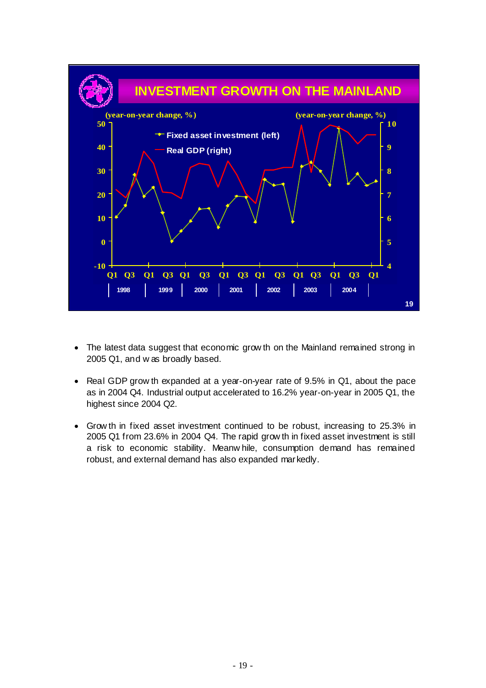

- The latest data suggest that economic grow th on the Mainland remained strong in 2005 Q1, and w as broadly based.
- Real GDP grow th expanded at a year-on-year rate of 9.5% in Q1, about the pace as in 2004 Q4. Industrial output accelerated to 16.2% year-on-year in 2005 Q1, the highest since 2004 Q2.
- Grow th in fixed asset investment continued to be robust, increasing to 25.3% in 2005 Q1 from 23.6% in 2004 Q4. The rapid grow th in fixed asset investment is still a risk to economic stability. Meanw hile, consumption demand has remained robust, and external demand has also expanded markedly.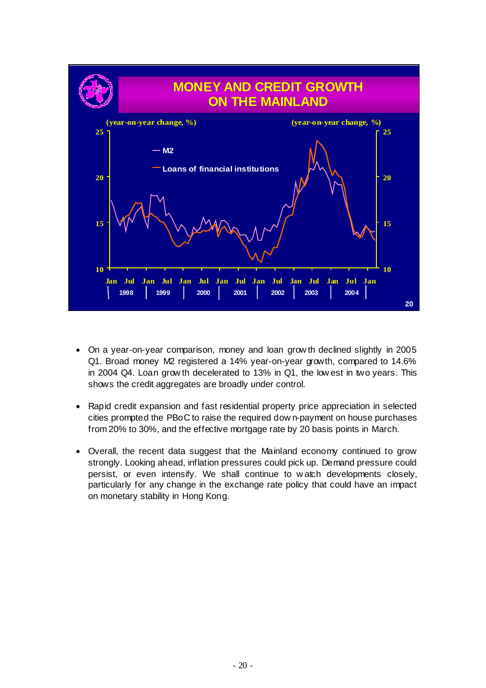

- On a year-on-year comparison, money and loan grow th declined slightly in 2005 Q1. Broad money M2 registered a 14% year-on-year growth, compared to 14.6% in 2004 Q4. Loan grow th decelerated to 13% in Q1, the low est in two years. This shows the credit aggregates are broadly under control.
- Rapid credit expansion and fast residential property price appreciation in selected cities prompted the PBoC to raise the required dow n-payment on house purchases from 20% to 30%, and the effective mortgage rate by 20 basis points in March.
- Overall, the recent data suggest that the Mainland economy continued to grow strongly. Looking ahead, inflation pressures could pick up. Demand pressure could persist, or even intensify. We shall continue to w atch developments closely, particularly for any change in the exchange rate policy that could have an impact on monetary stability in Hong Kong.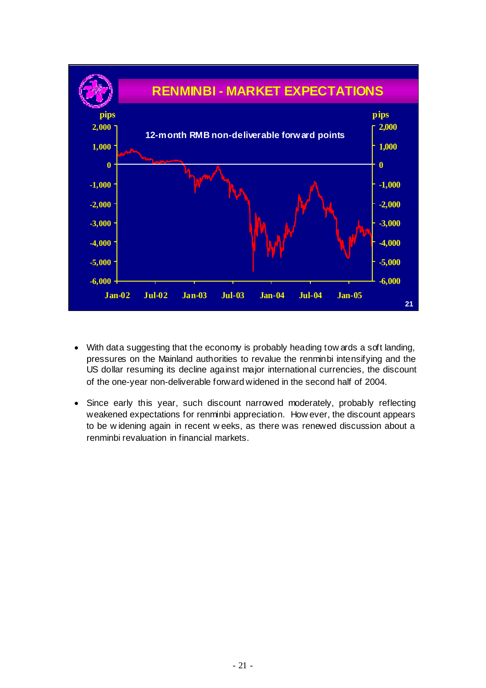

- With data suggesting that the economy is probably heading tow ards a soft landing, pressures on the Mainland authorities to revalue the renminbi intensifying and the US dollar resuming its decline against major international currencies, the discount of the one-year non-deliverable forward widened in the second half of 2004.
- Since early this year, such discount narrowed moderately, probably reflecting weakened expectations for renminbi appreciation. How ever, the discount appears to be w idening again in recent w eeks, as there was renewed discussion about a renminbi revaluation in financial markets.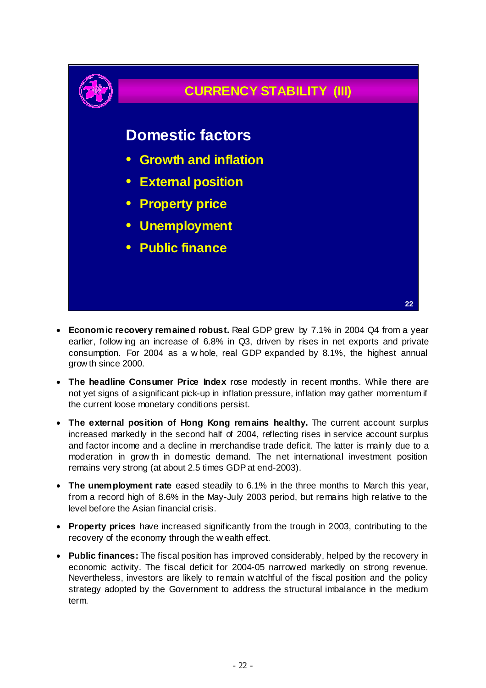

- **Economic recovery remained robust.** Real GDP grew by 7.1% in 2004 Q4 from a year earlier, follow ing an increase of 6.8% in Q3, driven by rises in net exports and private consumption. For 2004 as a w hole, real GDP expanded by 8.1%, the highest annual grow th since 2000.
- **The headline Consumer Price Index** rose modestly in recent months. While there are not yet signs of a significant pick-up in inflation pressure, inflation may gather momentum if the current loose monetary conditions persist.
- **The external position of Hong Kong remains healthy.** The current account surplus increased markedly in the second half of 2004, reflecting rises in service account surplus and factor income and a decline in merchandise trade deficit. The latter is mainly due to a moderation in grow th in domestic demand. The net international investment position remains very strong (at about 2.5 times GDP at end-2003).
- **The unemployment rate** eased steadily to 6.1% in the three months to March this year, from a record high of 8.6% in the May-July 2003 period, but remains high relative to the level before the Asian financial crisis.
- **Property prices** have increased significantly from the trough in 2003, contributing to the recovery of the economy through the w ealth effect.
- **Public finances:** The fiscal position has improved considerably, helped by the recovery in economic activity. The fiscal deficit for 2004-05 narrowed markedly on strong revenue. Nevertheless, investors are likely to remain w atchful of the fiscal position and the policy strategy adopted by the Government to address the structural imbalance in the medium term.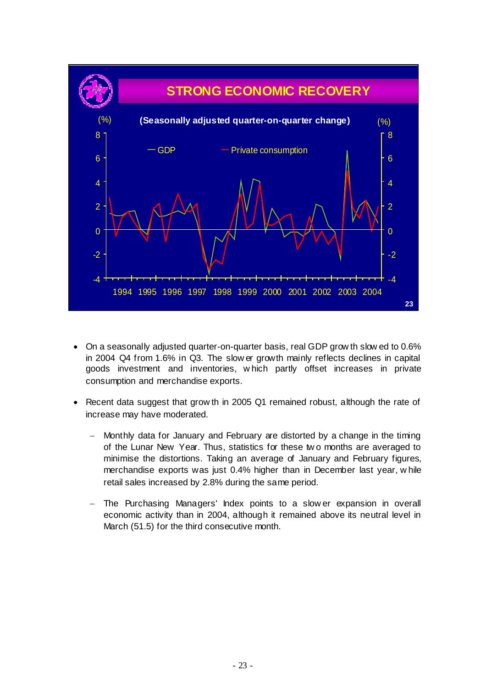

- On a seasonally adjusted quarter-on-quarter basis, real GDP grow th slow ed to 0.6% in 2004 Q4 from 1.6% in Q3. The slow er growth mainly reflects declines in capital goods investment and inventories, w hich partly offset increases in private consumption and merchandise exports.
- Recent data suggest that grow th in 2005 Q1 remained robust, although the rate of increase may have moderated.
	- − Monthly data for January and February are distorted by a change in the timing of the Lunar New Year. Thus, statistics for these tw o months are averaged to minimise the distortions. Taking an average of January and February figures, merchandise exports was just 0.4% higher than in December last year, w hile retail sales increased by 2.8% during the same period.
	- The Purchasing Managers' Index points to a slow er expansion in overall economic activity than in 2004, although it remained above its neutral level in March (51.5) for the third consecutive month.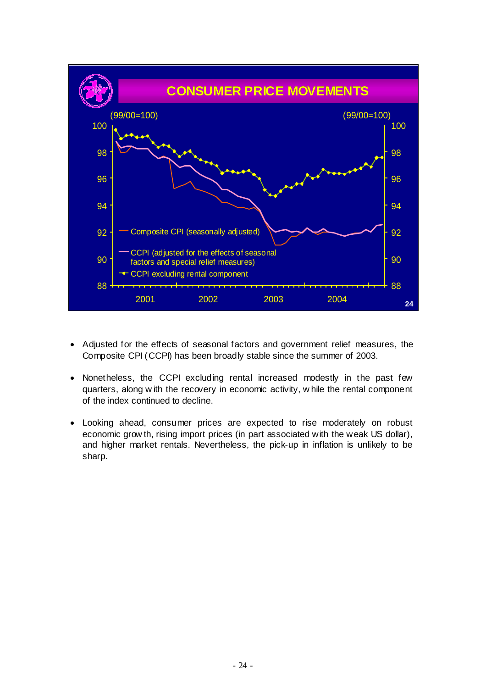

- Adjusted for the effects of seasonal factors and government relief measures, the Composite CPI (CCPI) has been broadly stable since the summer of 2003.
- Nonetheless, the CCPI excluding rental increased modestly in the past few quarters, along w ith the recovery in economic activity, w hile the rental component of the index continued to decline.
- Looking ahead, consumer prices are expected to rise moderately on robust economic grow th, rising import prices (in part associated with the weak US dollar), and higher market rentals. Nevertheless, the pick-up in inflation is unlikely to be sharp.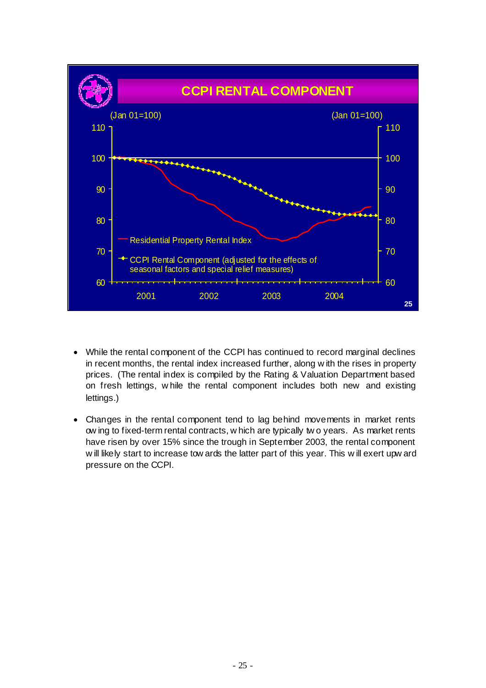

- While the rental component of the CCPI has continued to record marginal declines in recent months, the rental index increased further, along w ith the rises in property prices. (The rental index is compiled by the Rating & Valuation Department based on fresh lettings, w hile the rental component includes both new and existing lettings.)
- Changes in the rental component tend to lag behind movements in market rents ow ing to fixed-term rental contracts, w hich are typically tw o years. As market rents have risen by over 15% since the trough in September 2003, the rental component w ill likely start to increase tow ards the latter part of this year. This w ill exert upw ard pressure on the CCPI.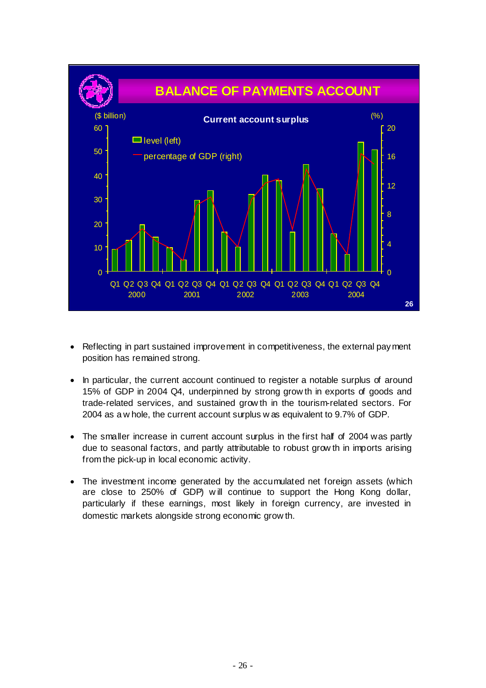

- Reflecting in part sustained improvement in competitiveness, the external payment position has remained strong.
- In particular, the current account continued to register a notable surplus of around 15% of GDP in 2004 Q4, underpinned by strong grow th in exports of goods and trade-related services, and sustained grow th in the tourism-related sectors. For 2004 as a w hole, the current account surplus w as equivalent to 9.7% of GDP.
- The smaller increase in current account surplus in the first half of 2004 was partly due to seasonal factors, and partly attributable to robust grow th in imports arising from the pick-up in local economic activity.
- The investment income generated by the accumulated net foreign assets (which are close to 250% of GDP) w ill continue to support the Hong Kong dollar, particularly if these earnings, most likely in foreign currency, are invested in domestic markets alongside strong economic grow th.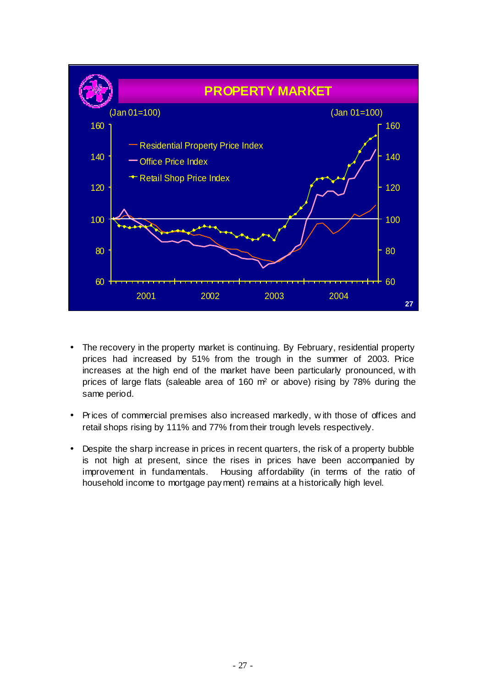

- The recovery in the property market is continuing. By February, residential property prices had increased by 51% from the trough in the summer of 2003. Price increases at the high end of the market have been particularly pronounced, w ith prices of large flats (saleable area of 160 m2 or above) rising by 78% during the same period.
- Prices of commercial premises also increased markedly, w ith those of offices and retail shops rising by 111% and 77% from their trough levels respectively.
- Despite the sharp increase in prices in recent quarters, the risk of a property bubble is not high at present, since the rises in prices have been accompanied by improvement in fundamentals. Housing affordability (in terms of the ratio of household income to mortgage payment) remains at a historically high level.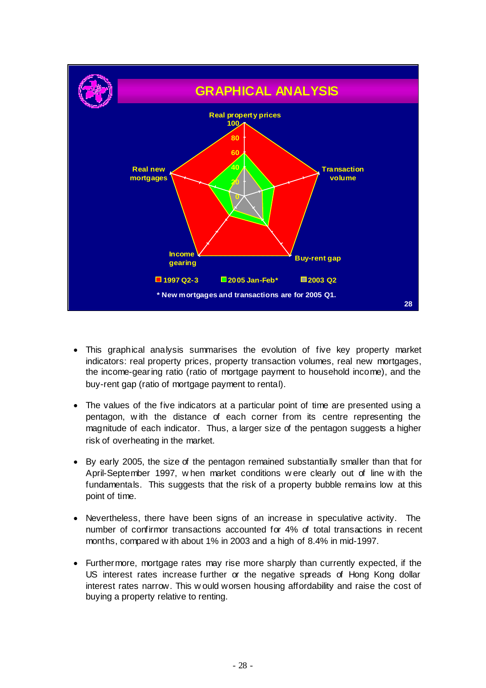

- This graphical analysis summarises the evolution of five key property market indicators: real property prices, property transaction volumes, real new mortgages, the income-gearing ratio (ratio of mortgage payment to household income), and the buy-rent gap (ratio of mortgage payment to rental).
- The values of the five indicators at a particular point of time are presented using a pentagon, w ith the distance of each corner from its centre representing the magnitude of each indicator. Thus, a larger size of the pentagon suggests a higher risk of overheating in the market.
- By early 2005, the size of the pentagon remained substantially smaller than that for April-September 1997, w hen market conditions w ere clearly out of line w ith the fundamentals. This suggests that the risk of a property bubble remains low at this point of time.
- Nevertheless, there have been signs of an increase in speculative activity. The number of confirmor transactions accounted for 4% of total transactions in recent months, compared w ith about 1% in 2003 and a high of 8.4% in mid-1997.
- Furthermore, mortgage rates may rise more sharply than currently expected, if the US interest rates increase further or the negative spreads of Hong Kong dollar interest rates narrow. This w ould worsen housing affordability and raise the cost of buying a property relative to renting.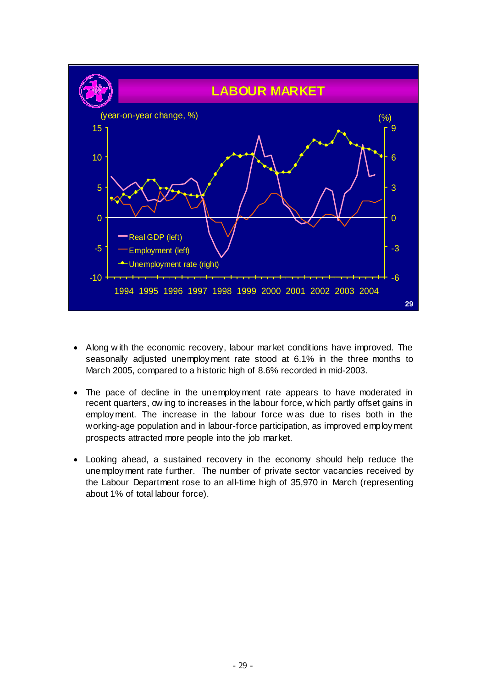

- Along w ith the economic recovery, labour market conditions have improved. The seasonally adjusted unemployment rate stood at 6.1% in the three months to March 2005, compared to a historic high of 8.6% recorded in mid-2003.
- The pace of decline in the unemployment rate appears to have moderated in recent quarters, ow ing to increases in the labour force, w hich partly offset gains in employment. The increase in the labour force w as due to rises both in the working-age population and in labour-force participation, as improved employment prospects attracted more people into the job market.
- Looking ahead, a sustained recovery in the economy should help reduce the unemployment rate further. The number of private sector vacancies received by the Labour Department rose to an all-time high of 35,970 in March (representing about 1% of total labour force).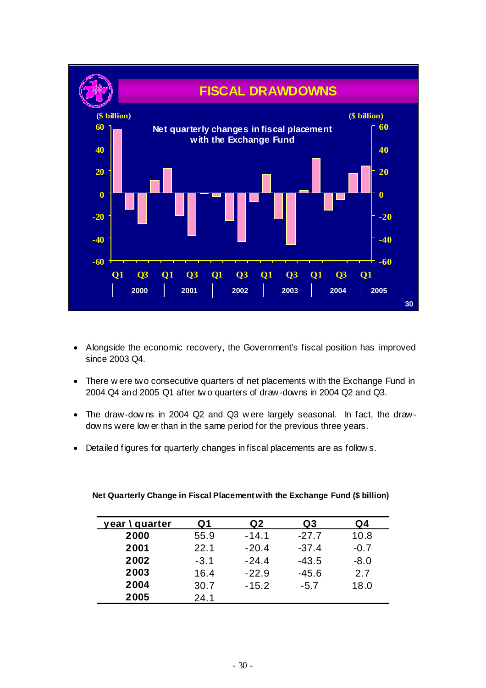

- Alongside the economic recovery, the Government's fiscal position has improved since 2003 Q4.
- There w ere two consecutive quarters of net placements w ith the Exchange Fund in 2004 Q4 and 2005 Q1 after tw o quarters of draw-downs in 2004 Q2 and Q3.
- The draw-dow ns in 2004 Q2 and Q3 w ere largely seasonal. In fact, the drawdow ns were low er than in the same period for the previous three years.
- Detailed figures for quarterly changes in fiscal placements are as follow s.

| year \ quarter | Q1     | Q2      | Q3      | Q4     |
|----------------|--------|---------|---------|--------|
| 2000           | 55.9   | -14.1   | $-27.7$ | 10.8   |
| 2001           | 22.1   | $-20.4$ | $-37.4$ | $-0.7$ |
| 2002           | $-3.1$ | $-24.4$ | $-43.5$ | $-8.0$ |
| 2003           | 16.4   | $-22.9$ | $-45.6$ | 2.7    |
| 2004           | 30.7   | $-15.2$ | $-5.7$  | 18.0   |
| 2005           | 24.1   |         |         |        |

#### **Net Quarterly Change in Fiscal Placement with the Exchange Fund (\$ billion)**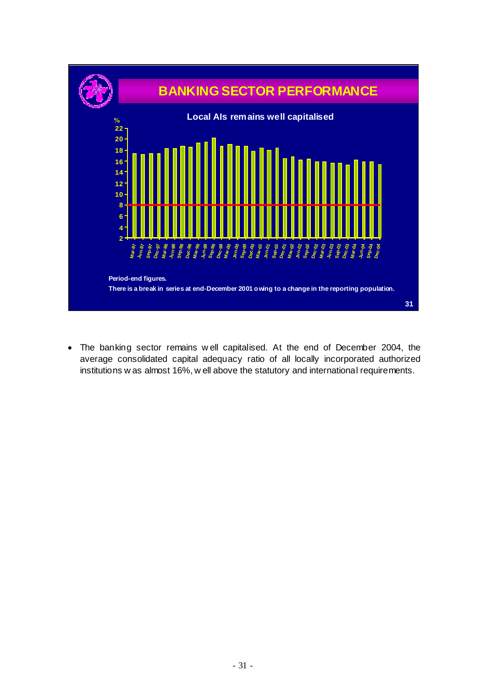

• The banking sector remains w ell capitalised. At the end of December 2004, the average consolidated capital adequacy ratio of all locally incorporated authorized institutions w as almost 16%, w ell above the statutory and international requirements.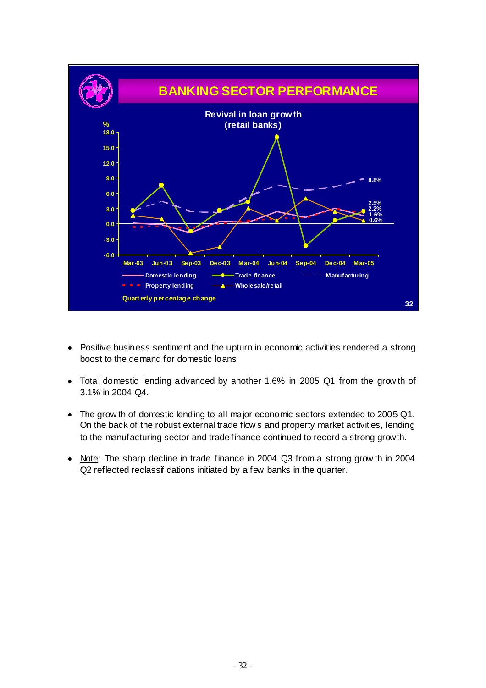

- Positive business sentiment and the upturn in economic activities rendered a strong boost to the demand for domestic loans
- Total domestic lending advanced by another 1.6% in 2005 Q1 from the grow th of 3.1% in 2004 Q4.
- The grow th of domestic lending to all major economic sectors extended to 2005 Q1. On the back of the robust external trade flow s and property market activities, lending to the manufacturing sector and trade finance continued to record a strong growth.
- Note: The sharp decline in trade finance in 2004 Q3 from a strong grow th in 2004 Q2 reflected reclassifications initiated by a few banks in the quarter.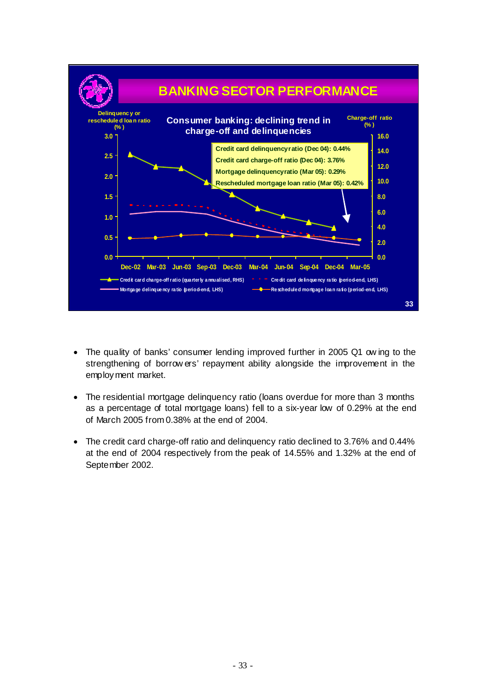

- The quality of banks' consumer lending improved further in 2005 Q1 ow ing to the strengthening of borrow ers' repayment ability alongside the improvement in the employment market.
- The residential mortgage delinquency ratio (loans overdue for more than 3 months as a percentage of total mortgage loans) fell to a six-year low of 0.29% at the end of March 2005 from 0.38% at the end of 2004.
- The credit card charge-off ratio and delinquency ratio declined to 3.76% and 0.44% at the end of 2004 respectively from the peak of 14.55% and 1.32% at the end of September 2002.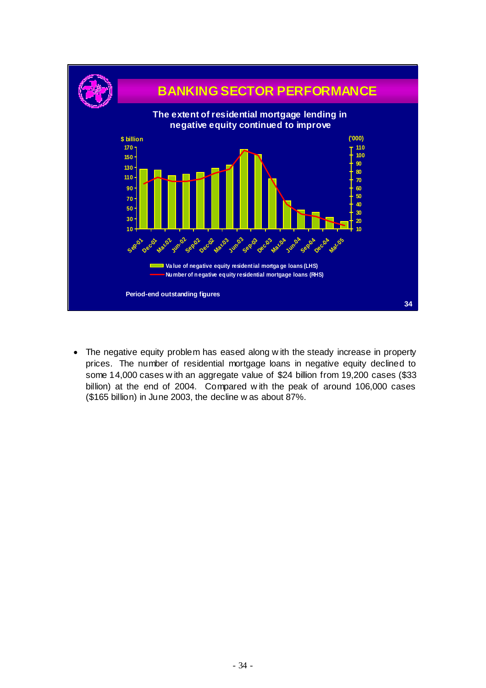

• The negative equity problem has eased along w ith the steady increase in property prices. The number of residential mortgage loans in negative equity declined to some 14,000 cases w ith an aggregate value of \$24 billion from 19,200 cases (\$33 billion) at the end of 2004. Compared w ith the peak of around 106,000 cases (\$165 billion) in June 2003, the decline w as about 87%.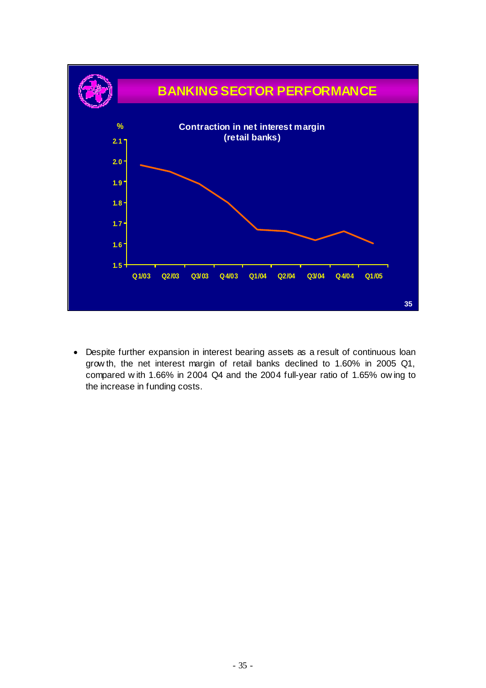

• Despite further expansion in interest bearing assets as a result of continuous loan grow th, the net interest margin of retail banks declined to 1.60% in 2005 Q1, compared w ith 1.66% in 2004 Q4 and the 2004 full-year ratio of 1.65% ow ing to the increase in funding costs.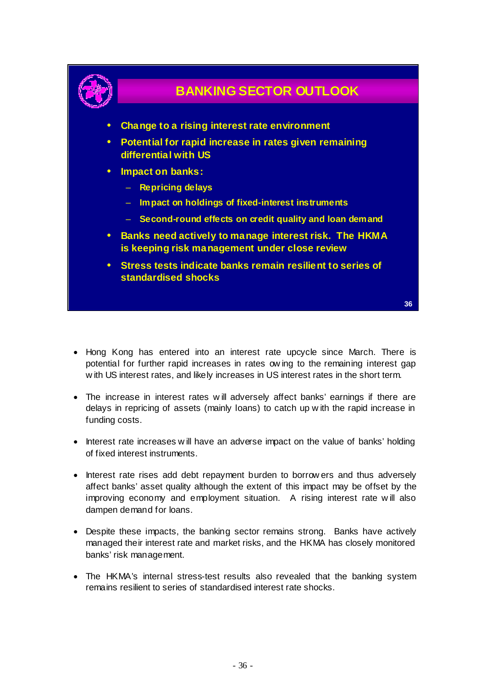

### **BANKING SECTOR OUTLOOK**

- **Change to a rising interest rate environment**
- **Potential for rapid increase in rates given remaining differential with US**
- **Impact on banks:**
	- **Repricing delays**
	- **Impact on holdings of fixed-interest instruments**
	- **Second-round effects on credit quality and loan demand**
- **Banks need actively to manage interest risk. The HKMA is keeping risk management under close review**
- **Stress tests indicate banks remain resilient to series of standardised shocks**

**36**

- Hong Kong has entered into an interest rate upcycle since March. There is potential for further rapid increases in rates ow ing to the remaining interest gap w ith US interest rates, and likely increases in US interest rates in the short term.
- The increase in interest rates w ill adversely affect banks' earnings if there are delays in repricing of assets (mainly loans) to catch up w ith the rapid increase in funding costs.
- Interest rate increases w ill have an adverse impact on the value of banks' holding of fixed interest instruments.
- Interest rate rises add debt repayment burden to borrow ers and thus adversely affect banks' asset quality although the extent of this impact may be offset by the improving economy and employment situation. A rising interest rate w ill also dampen demand for loans.
- Despite these impacts, the banking sector remains strong. Banks have actively managed their interest rate and market risks, and the HKMA has closely monitored banks' risk management.
- The HKMA's internal stress-test results also revealed that the banking system remains resilient to series of standardised interest rate shocks.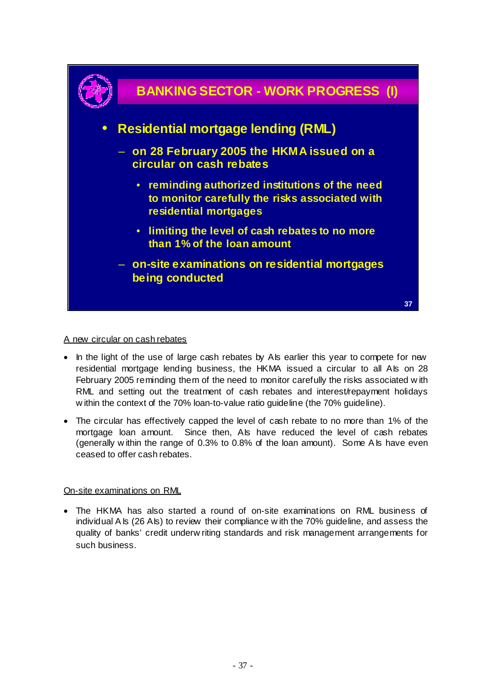

#### A new circular on cash rebates

- In the light of the use of large cash rebates by AIs earlier this year to compete for new residential mortgage lending business, the HKMA issued a circular to all Als on 28 February 2005 reminding them of the need to monitor carefully the risks associated w ith RML and setting out the treatment of cash rebates and interest/repayment holidays w ithin the context of the 70% loan-to-value ratio guideline (the 70% guideline).
- The circular has effectively capped the level of cash rebate to no more than 1% of the mortgage loan amount. Since then, AIs have reduced the level of cash rebates (generally w ithin the range of 0.3% to 0.8% of the loan amount). Some A Is have even ceased to offer cash rebates.

#### On-site examinations on RML

• The HKMA has also started a round of on-site examinations on RML business of individual A Is (26 AIs) to review their compliance w ith the 70% guideline, and assess the quality of banks' credit underw riting standards and risk management arrangements for such business.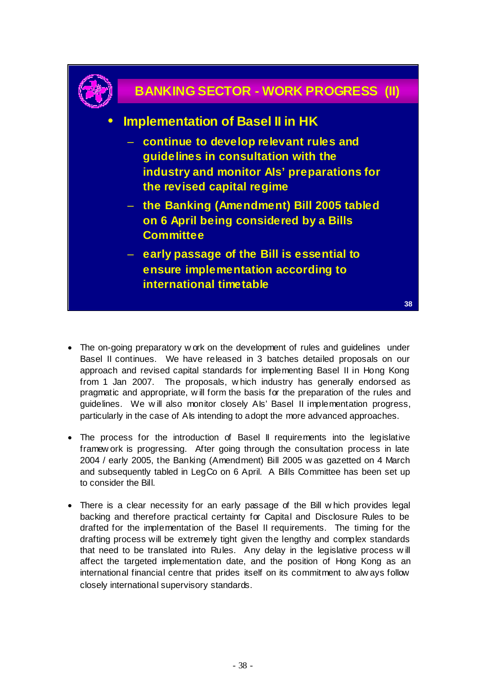

### **BANKING SECTOR - WORK PROGRESS (II)**

#### • **Implementation of Basel II in HK**

- **continue to develop relevant rules and guidelines in consultation with the industry and monitor AIs' preparations for the revised capital regime**
- **the Banking (Amendment) Bill 2005 tabled on 6 April being considered by a Bills Committee**
- **early passage of the Bill is essential to ensure implementation according to international timetable**

- The on-going preparatory w ork on the development of rules and guidelines under Basel II continues. We have released in 3 batches detailed proposals on our approach and revised capital standards for implementing Basel II in Hong Kong from 1 Jan 2007. The proposals, w hich industry has generally endorsed as pragmatic and appropriate, w ill form the basis for the preparation of the rules and guidelines. We will also monitor closely Als' Basel II implementation progress, particularly in the case of AIs intending to adopt the more advanced approaches.
- The process for the introduction of Basel II requirements into the legislative framew ork is progressing. After going through the consultation process in late 2004 / early 2005, the Banking (Amendment) Bill 2005 w as gazetted on 4 March and subsequently tabled in LegCo on 6 April. A Bills Committee has been set up to consider the Bill.
- There is a clear necessity for an early passage of the Bill w hich provides legal backing and therefore practical certainty for Capital and Disclosure Rules to be drafted for the implementation of the Basel II requirements. The timing for the drafting process will be extremely tight given the lengthy and complex standards that need to be translated into Rules. Any delay in the legislative process w ill affect the targeted implementation date, and the position of Hong Kong as an international financial centre that prides itself on its commitment to alw ays follow closely international supervisory standards.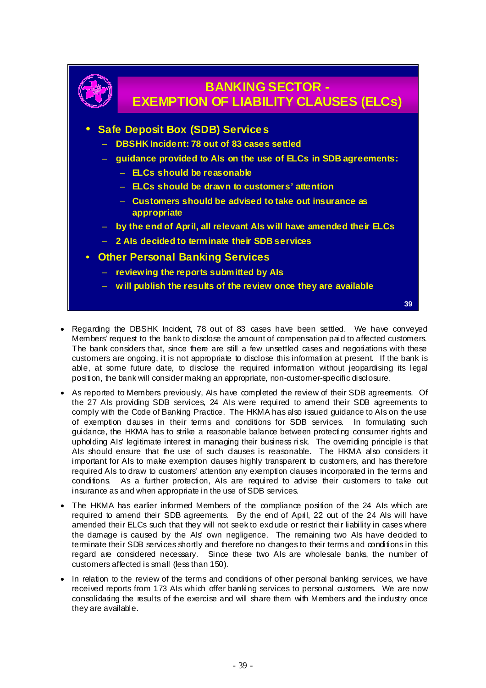

### **BANKING SECTOR - EXEMPTION OF LIABILITY CLAUSES (ELCs)**

#### • **Safe Deposit Box (SDB) Services**

- **DBSHK Incident: 78 out of 83 cases settled**
- **guidance provided to AIs on the use of ELCs in SDB agreements:**
	- **ELCs should be reasonable**
	- **ELCs should be drawn to customers' attention**
	- **Customers should be advised to take out insurance as appropriate**
- **by the end of April, all relevant AIs will have amended their ELCs**
- **2 AIs decided to terminate their SDB services**
- **Other Personal Banking Services**
	- **reviewing the reports submitted by AIs**
	- **will publish the results of the review once they are available**

**39**

- Regarding the DBSHK Incident, 78 out of 83 cases have been settled. We have conveyed Members' request to the bank to disclose the amount of compensation paid to affected customers. The bank considers that, since there are still a few unsettled cases and negotiations with these customers are ongoing, it is not appropriate to disclose this information at present. If the bank is able, at some future date, to disclose the required information without jeopardising its legal position, the bank will consider making an appropriate, non-customer-specific disclosure.
- As reported to Members previously, AIs have completed the review of their SDB agreements. Of the 27 AIs providing SDB services, 24 AIs were required to amend their SDB agreements to comply with the Code of Banking Practice. The HKMA has also issued guidance to AIs on the use of exemption clauses in their terms and conditions for SDB services. In formulating such guidance, the HKMA has to strike a reasonable balance between protecting consumer rights and upholding AIs' legitimate interest in managing their business ri sk. The overriding principle is that Als should ensure that the use of such dauses is reasonable. The HKMA also considers it important for AIs to make exemption dauses highly transparent to customers, and has therefore required AIs to draw to customers' attention any exemption clauses incorporated in the terms and conditions. As a further protection, AIs are required to advise their customers to take out insurance as and when appropriate in the use of SDB services.
- The HKMA has earlier informed Members of the compliance position of the 24 AIs which are required to amend their SDB agreements. By the end of April, 22 out of the 24 AIs will have amended their ELCs such that they will not seek to exdude or restrict their liability in cases where the damage is caused by the AIs' own negligence. The remaining two AIs have decided to terminate their SDB services shortly and therefore no changes to their terms and conditions in this regard are considered necessary. Since these two AIs are wholesale banks, the number of customers affected is small (less than 150).
- In relation to the review of the terms and conditions of other personal banking services, we have received reports from 173 AIs which offer banking services to personal customers. We are now consolidating the results of the exercise and will share them with Members and the industry once they are available.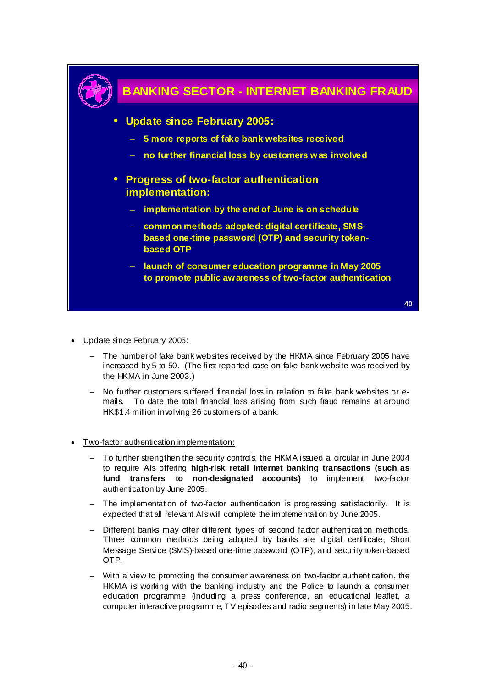

• Update since February 2005:

- The number of fake bank websites received by the HKMA since February 2005 have increased by 5 to 50. (The first reported case on fake bank website was received by the HKMA in June 2003.)
- − No further customers suffered financial loss in relation to fake bank websites or emails. To date the total financial loss arising from such fraud remains at around HK\$1.4 million involving 26 customers of a bank.
- Two-factor authentication implementation:
	- To further strengthen the security controls, the HKMA issued a circular in June 2004 to require AIs offering **high-risk retail Internet banking transactions (such as fund transfers to non-designated accounts)** to implement two-factor authentication by June 2005.
	- − The implementation of two-factor authentication is progressing satisfactorily. It is expected that all relevant AIs will complete the implementation by June 2005.
	- − Different banks may offer different types of second factor authentication methods. Three common methods being adopted by banks are digital certificate, Short Message Service (SMS)-based one-time password (OTP), and security token-based OTP.
	- With a view to promoting the consumer awareness on two-factor authentication, the HKMA is working with the banking industry and the Police to launch a consumer education programme (including a press conference, an educational leaflet, a computer interactive programme, TV episodes and radio segments) in late May 2005.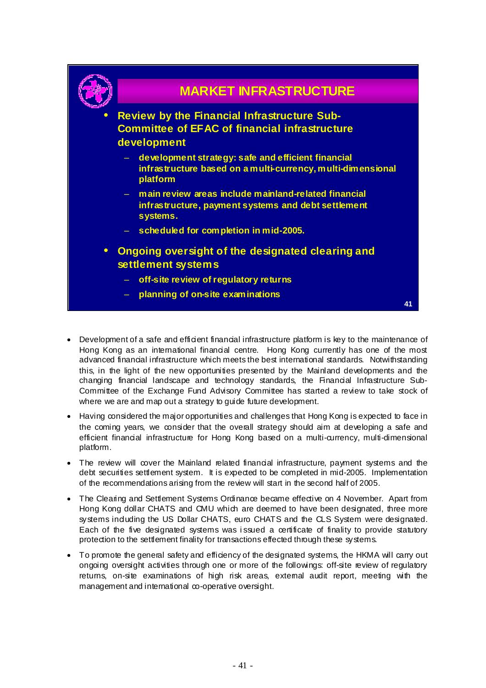

- Development of a safe and efficient financial infrastructure platform is key to the maintenance of Hong Kong as an international financial centre. Hong Kong currently has one of the most advanced financial infrastructure which meets the best international standards. Notwithstanding this, in the light of the new opportunities presented by the Mainland developments and the changing financial landscape and technology standards, the Financial Infrastructure Sub-Committee of the Exchange Fund Advisory Committee has started a review to take stock of where we are and map out a strategy to guide future development.
- Having considered the major opportunities and challenges that Hong Kong is expected to face in the coming years, we consider that the overall strategy should aim at developing a safe and efficient financial infrastructure for Hong Kong based on a multi-currency, multi-dimensional platform.
- The review will cover the Mainland related financial infrastructure, payment systems and the debt securities settlement system. It is expected to be completed in mid-2005. Implementation of the recommendations arising from the review will start in the second half of 2005.
- The Clearing and Settlement Systems Ordinance became effective on 4 November. Apart from Hong Kong dollar CHATS and CMU which are deemed to have been designated, three more systems induding the US Dollar CHATS, euro CHATS and the CLS System were designated. Each of the five designated systems was i ssued a certificate of finality to provide statutory protection to the settlement finality for transactions effected through these systems.
- To promote the general safety and efficiency of the designated systems, the HKMA will carry out ongoing oversight activities through one or more of the followings: off-site review of regulatory returns, on-site examinations of high risk areas, external audit report, meeting with the management and international co-operative oversight.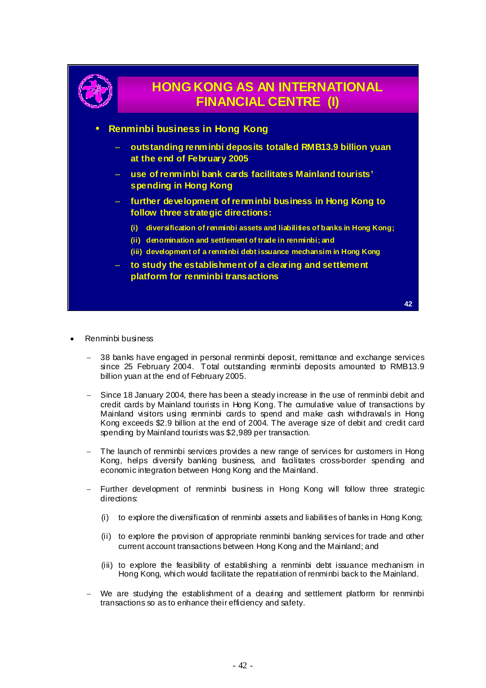

- Renminbi business
	- 38 banks have engaged in personal renminbi deposit, remittance and exchange services since 25 February 2004. Total outstanding renminbi deposits amounted to RMB13.9 billion yuan at the end of February 2005.
	- Since 18 January 2004, there has been a steady increase in the use of renminbi debit and credit cards by Mainland tourists in Hong Kong. The cumulative value of transactions by Mainland visitors using renminbi cards to spend and make cash withdrawals in Hong Kong exceeds \$2.9 billion at the end of 2004. The average size of debit and credit card spending by Mainland tourists was \$2,989 per transaction.
	- The launch of renminbi services provides a new range of services for customers in Hong Kong, helps diversify banking business, and facilitates cross-border spending and economic integration between Hong Kong and the Mainland.
	- Further development of renminbi business in Hong Kong will follow three strategic directions:
		- (i) to explore the diversification of renminbi assets and liabilities of banks in Hong Kong;
		- (ii) to explore the provision of appropriate renminbi banking services for trade and other current account transactions between Hong Kong and the Mainland; and
		- (iii) to explore the feasibility of establishing a renminbi debt issuance mechanism in Hong Kong, which would facilitate the repatriation of renminbi back to the Mainland.
	- We are studying the establishment of a dearing and settlement platform for renminbi transactions so as to enhance their efficiency and safety.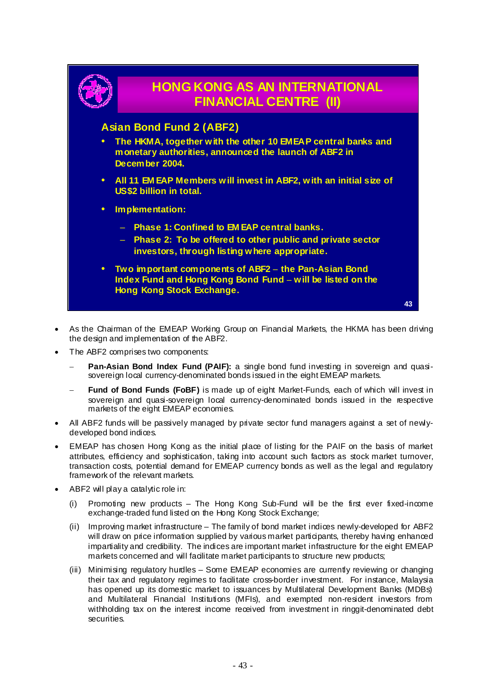

- As the Chairman of the EMEAP Working Group on Financial Markets, the HKMA has been driving the design and implementation of the ABF2.
- The ABF2 comprises two components:
	- **Pan-Asian Bond Index Fund (PAIF):** a single bond fund investing in sovereign and quasisovereign local currency-denominated bonds issued in the eight EMEAP markets.
	- Fund of Bond Funds (FoBF) is made up of eight Market-Funds, each of which will invest in sovereign and quasi-sovereign local currency-denominated bonds issued in the respective markets of the eight EMEAP economies.
- All ABF2 funds will be passively managed by private sector fund managers against a set of newlydeveloped bond indices.
- EMEAP has chosen Hong Kong as the initial place of listing for the PAIF on the basis of market attributes, efficiency and sophistication, taking into account such factors as stock market turnover, transaction costs, potential demand for EMEAP currency bonds as well as the legal and regulatory framework of the relevant markets.
- ABF2 will play a catalytic role in:
	- (i) Promoting new products The Hong Kong Sub-Fund will be the first ever fixed-income exchange-traded fund listed on the Hong Kong Stock Exchange;
	- (ii) Improving market infrastructure The family of bond market indices newly-developed for ABF2 will draw on price information supplied by various market participants, thereby having enhanced impartiality and credibility. The indices are important market infrastructure for the eight EMEAP markets concerned and will facilitate market participants to structure new products;
	- (iii) Minimising regulatory hurdles Some EMEAP economies are currently reviewing or changing their tax and regulatory regimes to facilitate cross-border investment. For instance, Malaysia has opened up its domestic market to issuances by Multilateral Development Banks (MDBs) and Multilateral Financial Institutions (MFIs), and exempted non-resident investors from withholding tax on the interest income received from investment in ringgit-denominated debt securities.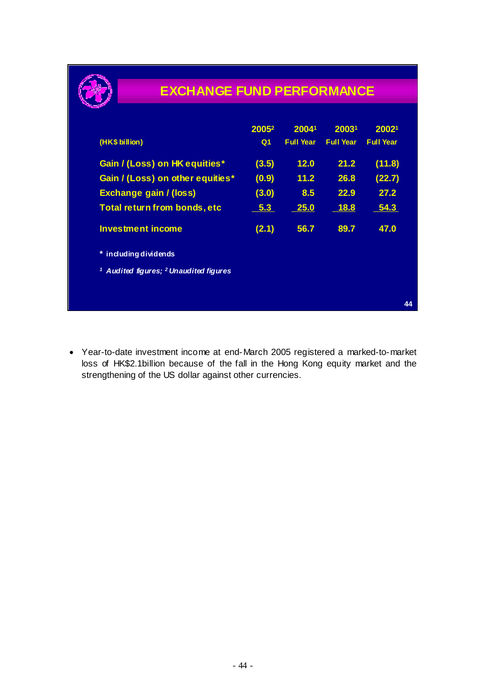

## **EXCHANGE FUND PERFORMANCE**

|                                                              | 2005 <sup>2</sup> | 20041            | 20031            | 20021            |    |
|--------------------------------------------------------------|-------------------|------------------|------------------|------------------|----|
| (HK\$ billion)                                               | Q <sub>1</sub>    | <b>Full Year</b> | <b>Full Year</b> | <b>Full Year</b> |    |
| Gain / (Loss) on HK equities*                                | (3.5)             | 12.0             | 21.2             | (11.8)           |    |
| Gain / (Loss) on other equities*                             | (0.9)             | 11.2             | 26.8             | (22.7)           |    |
| Exchange gain / (loss)                                       | (3.0)             | 8.5              | 22.9             | 27.2             |    |
| Total return from bonds, etc                                 | $-5.3$            | 25.0             | <b>18.8</b>      | 54.3             |    |
| <b>Investment income</b>                                     | (2.1)             | 56.7             | 89.7             | 47.0             |    |
| * including dividends                                        |                   |                  |                  |                  |    |
| <sup>1</sup> Audited figures; <sup>2</sup> Unaudited figures |                   |                  |                  |                  |    |
|                                                              |                   |                  |                  |                  |    |
|                                                              |                   |                  |                  |                  | 44 |

• Year-to-date investment income at end-March 2005 registered a marked-to-market loss of HK\$2.1billion because of the fall in the Hong Kong equity market and the strengthening of the US dollar against other currencies.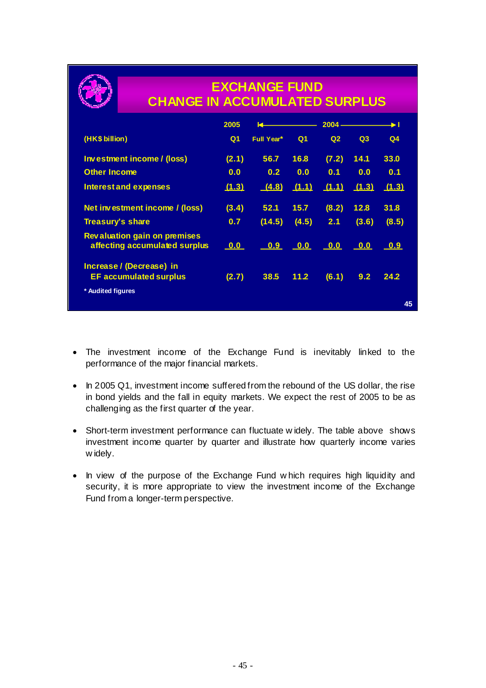

## **EXCHANGE FUND CHANGE IN ACCUMULATED SURPLUS**

|                                                                      | 2005                      |               |                | $2004 -$                  |                           |                |
|----------------------------------------------------------------------|---------------------------|---------------|----------------|---------------------------|---------------------------|----------------|
| (HK\$ billion)                                                       | Q1                        | Full Year*    | Q <sub>1</sub> | Q <sub>2</sub>            | Q3                        | Q <sub>4</sub> |
| Investment income / (loss)                                           | (2.1)                     | 56.7          | 16.8           | (7.2)                     | 14.1                      | 33.0           |
| <b>Other Income</b>                                                  | 0.0                       | 0.2           | 0.0            | 0.1                       | 0.0                       | 0.1            |
| <b>Interest and expenses</b>                                         | (1.3)                     | (4.8)         | (1.1)          | (1.1)                     | (1.3)                     | (1.3)          |
| Net investment income / (loss)                                       | (3.4)                     | 52.1          | 15.7           | (8.2)                     | 12.8                      | 31.8           |
| Treasury's share                                                     | 0.7                       | (14.5)        | (4.5)          | 2.1                       | (3.6)                     | (8.5)          |
| <b>Revaluation gain on premises</b><br>affecting accumulated surplus | $\overline{\mathbf{0.0}}$ | <u>__0.9_</u> | 0.0            | $\overline{\mathbf{0.0}}$ | $\overline{\mathbf{0.0}}$ | 0.9            |
| Increase / (Decrease) in<br><b>EF accumulated surplus</b>            | (2.7)                     | 38.5          | 11.2           | (6.1)                     | 9.2                       | 24.2           |
| * Audited figures                                                    |                           |               |                |                           |                           |                |
|                                                                      |                           |               |                |                           |                           | 45             |

- The investment income of the Exchange Fund is inevitably linked to the performance of the major financial markets.
- In 2005 Q1, investment income suffered from the rebound of the US dollar, the rise in bond yields and the fall in equity markets. We expect the rest of 2005 to be as challenging as the first quarter of the year.
- Short-term investment performance can fluctuate w idely. The table above shows investment income quarter by quarter and illustrate how quarterly income varies w idely.
- In view of the purpose of the Exchange Fund w hich requires high liquidity and security, it is more appropriate to view the investment income of the Exchange Fund from a longer-term perspective.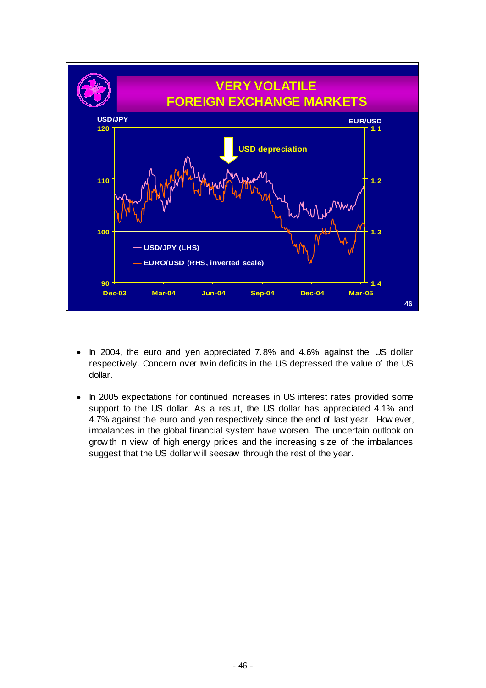

- In 2004, the euro and yen appreciated 7.8% and 4.6% against the US dollar respectively. Concern over tw in deficits in the US depressed the value of the US dollar.
- In 2005 expectations for continued increases in US interest rates provided some support to the US dollar. As a result, the US dollar has appreciated 4.1% and 4.7% against the euro and yen respectively since the end of last year. How ever, imbalances in the global financial system have worsen. The uncertain outlook on grow th in view of high energy prices and the increasing size of the imbalances suggest that the US dollar w ill seesaw through the rest of the year.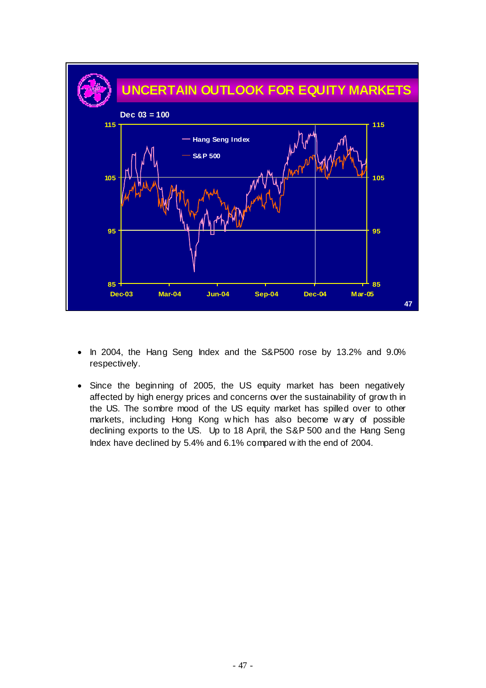

- In 2004, the Hang Seng Index and the S&P500 rose by 13.2% and 9.0% respectively.
- Since the beginning of 2005, the US equity market has been negatively affected by high energy prices and concerns over the sustainability of grow th in the US. The sombre mood of the US equity market has spilled over to other markets, including Hong Kong w hich has also become w ary of possible declining exports to the US. Up to 18 April, the S&P 500 and the Hang Seng Index have declined by 5.4% and 6.1% compared w ith the end of 2004.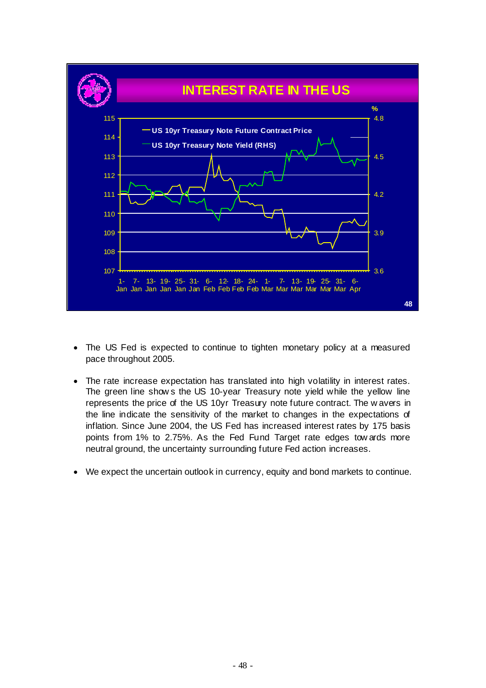

- The US Fed is expected to continue to tighten monetary policy at a measured pace throughout 2005.
- The rate increase expectation has translated into high volatility in interest rates. The green line show s the US 10-year Treasury note yield while the yellow line represents the price of the US 10yr Treasury note future contract. The w avers in the line indicate the sensitivity of the market to changes in the expectations of inflation. Since June 2004, the US Fed has increased interest rates by 175 basis points from 1% to 2.75%. As the Fed Fund Target rate edges tow ards more neutral ground, the uncertainty surrounding future Fed action increases.
- We expect the uncertain outlook in currency, equity and bond markets to continue.